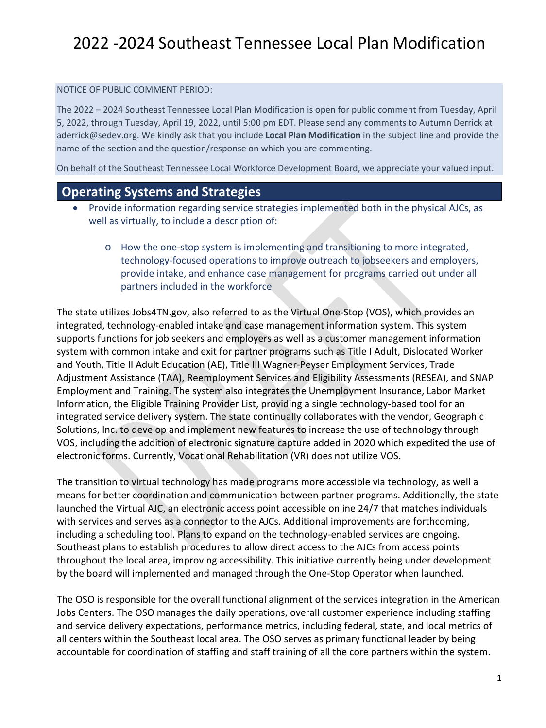#### NOTICE OF PUBLIC COMMENT PERIOD:

The 2022 – 2024 Southeast Tennessee Local Plan Modification is open for public comment from Tuesday, April 5, 2022, through Tuesday, April 19, 2022, until 5:00 pm EDT. Please send any comments to Autumn Derrick at [aderrick@sedev.org.](mailto:aderrick@sedev.org) We kindly ask that you include **Local Plan Modification** in the subject line and provide the name of the section and the question/response on which you are commenting.

On behalf of the Southeast Tennessee Local Workforce Development Board, we appreciate your valued input.

### **Operating Systems and Strategies**

- Provide information regarding service strategies implemented both in the physical AJCs, as well as virtually, to include a description of:
	- o How the one-stop system is implementing and transitioning to more integrated, technology-focused operations to improve outreach to jobseekers and employers, provide intake, and enhance case management for programs carried out under all partners included in the workforce

The state utilizes Jobs4TN.gov, also referred to as the Virtual One-Stop (VOS), which provides an integrated, technology-enabled intake and case management information system. This system supports functions for job seekers and employers as well as a customer management information system with common intake and exit for partner programs such as Title I Adult, Dislocated Worker and Youth, Title II Adult Education (AE), Title III Wagner-Peyser Employment Services, Trade Adjustment Assistance (TAA), Reemployment Services and Eligibility Assessments (RESEA), and SNAP Employment and Training. The system also integrates the Unemployment Insurance, Labor Market Information, the Eligible Training Provider List, providing a single technology-based tool for an integrated service delivery system. The state continually collaborates with the vendor, Geographic Solutions, Inc. to develop and implement new features to increase the use of technology through VOS, including the addition of electronic signature capture added in 2020 which expedited the use of electronic forms. Currently, Vocational Rehabilitation (VR) does not utilize VOS.

The transition to virtual technology has made programs more accessible via technology, as well a means for better coordination and communication between partner programs. Additionally, the state launched the Virtual AJC, an electronic access point accessible online 24/7 that matches individuals with services and serves as a connector to the AJCs. Additional improvements are forthcoming, including a scheduling tool. Plans to expand on the technology-enabled services are ongoing. Southeast plans to establish procedures to allow direct access to the AJCs from access points throughout the local area, improving accessibility. This initiative currently being under development by the board will implemented and managed through the One-Stop Operator when launched.

The OSO is responsible for the overall functional alignment of the services integration in the American Jobs Centers. The OSO manages the daily operations, overall customer experience including staffing and service delivery expectations, performance metrics, including federal, state, and local metrics of all centers within the Southeast local area. The OSO serves as primary functional leader by being accountable for coordination of staffing and staff training of all the core partners within the system.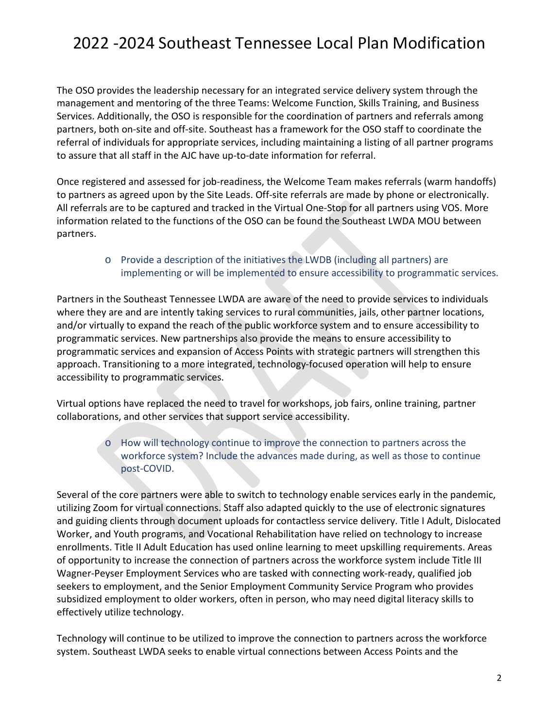The OSO provides the leadership necessary for an integrated service delivery system through the management and mentoring of the three Teams: Welcome Function, Skills Training, and Business Services. Additionally, the OSO is responsible for the coordination of partners and referrals among partners, both on-site and off-site. Southeast has a framework for the OSO staff to coordinate the referral of individuals for appropriate services, including maintaining a listing of all partner programs to assure that all staff in the AJC have up-to-date information for referral.

Once registered and assessed for job-readiness, the Welcome Team makes referrals (warm handoffs) to partners as agreed upon by the Site Leads. Off-site referrals are made by phone or electronically. All referrals are to be captured and tracked in the Virtual One-Stop for all partners using VOS. More information related to the functions of the OSO can be found the Southeast LWDA MOU between partners.

#### o Provide a description of the initiatives the LWDB (including all partners) are implementing or will be implemented to ensure accessibility to programmatic services.

Partners in the Southeast Tennessee LWDA are aware of the need to provide services to individuals where they are and are intently taking services to rural communities, jails, other partner locations, and/or virtually to expand the reach of the public workforce system and to ensure accessibility to programmatic services. New partnerships also provide the means to ensure accessibility to programmatic services and expansion of Access Points with strategic partners will strengthen this approach. Transitioning to a more integrated, technology-focused operation will help to ensure accessibility to programmatic services.

Virtual options have replaced the need to travel for workshops, job fairs, online training, partner collaborations, and other services that support service accessibility.

#### o How will technology continue to improve the connection to partners across the workforce system? Include the advances made during, as well as those to continue post-COVID.

Several of the core partners were able to switch to technology enable services early in the pandemic, utilizing Zoom for virtual connections. Staff also adapted quickly to the use of electronic signatures and guiding clients through document uploads for contactless service delivery. Title I Adult, Dislocated Worker, and Youth programs, and Vocational Rehabilitation have relied on technology to increase enrollments. Title II Adult Education has used online learning to meet upskilling requirements. Areas of opportunity to increase the connection of partners across the workforce system include Title III Wagner-Peyser Employment Services who are tasked with connecting work-ready, qualified job seekers to employment, and the Senior Employment Community Service Program who provides subsidized employment to older workers, often in person, who may need digital literacy skills to effectively utilize technology.

Technology will continue to be utilized to improve the connection to partners across the workforce system. Southeast LWDA seeks to enable virtual connections between Access Points and the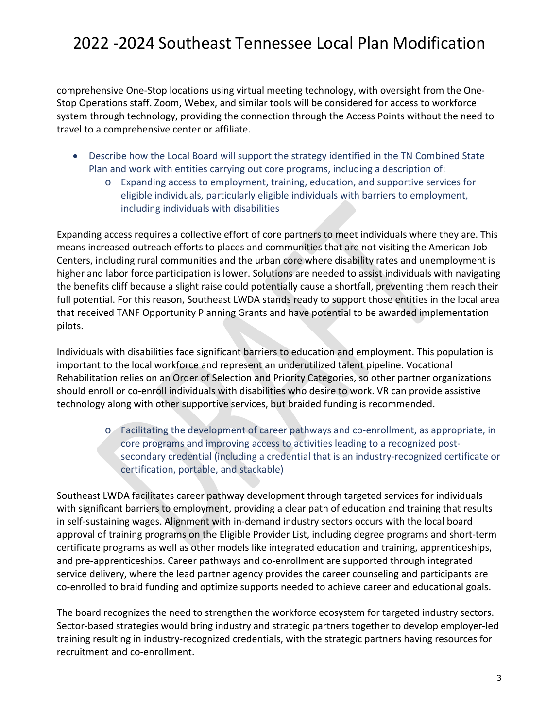comprehensive One-Stop locations using virtual meeting technology, with oversight from the One-Stop Operations staff. Zoom, Webex, and similar tools will be considered for access to workforce system through technology, providing the connection through the Access Points without the need to travel to a comprehensive center or affiliate.

- Describe how the Local Board will support the strategy identified in the TN Combined State Plan and work with entities carrying out core programs, including a description of:
	- o Expanding access to employment, training, education, and supportive services for eligible individuals, particularly eligible individuals with barriers to employment, including individuals with disabilities

Expanding access requires a collective effort of core partners to meet individuals where they are. This means increased outreach efforts to places and communities that are not visiting the American Job Centers, including rural communities and the urban core where disability rates and unemployment is higher and labor force participation is lower. Solutions are needed to assist individuals with navigating the benefits cliff because a slight raise could potentially cause a shortfall, preventing them reach their full potential. For this reason, Southeast LWDA stands ready to support those entities in the local area that received TANF Opportunity Planning Grants and have potential to be awarded implementation pilots.

Individuals with disabilities face significant barriers to education and employment. This population is important to the local workforce and represent an underutilized talent pipeline. Vocational Rehabilitation relies on an Order of Selection and Priority Categories, so other partner organizations should enroll or co-enroll individuals with disabilities who desire to work. VR can provide assistive technology along with other supportive services, but braided funding is recommended.

> o Facilitating the development of career pathways and co-enrollment, as appropriate, in core programs and improving access to activities leading to a recognized postsecondary credential (including a credential that is an industry-recognized certificate or certification, portable, and stackable)

Southeast LWDA facilitates career pathway development through targeted services for individuals with significant barriers to employment, providing a clear path of education and training that results in self-sustaining wages. Alignment with in-demand industry sectors occurs with the local board approval of training programs on the Eligible Provider List, including degree programs and short-term certificate programs as well as other models like integrated education and training, apprenticeships, and pre-apprenticeships. Career pathways and co-enrollment are supported through integrated service delivery, where the lead partner agency provides the career counseling and participants are co-enrolled to braid funding and optimize supports needed to achieve career and educational goals.

The board recognizes the need to strengthen the workforce ecosystem for targeted industry sectors. Sector-based strategies would bring industry and strategic partners together to develop employer-led training resulting in industry-recognized credentials, with the strategic partners having resources for recruitment and co-enrollment.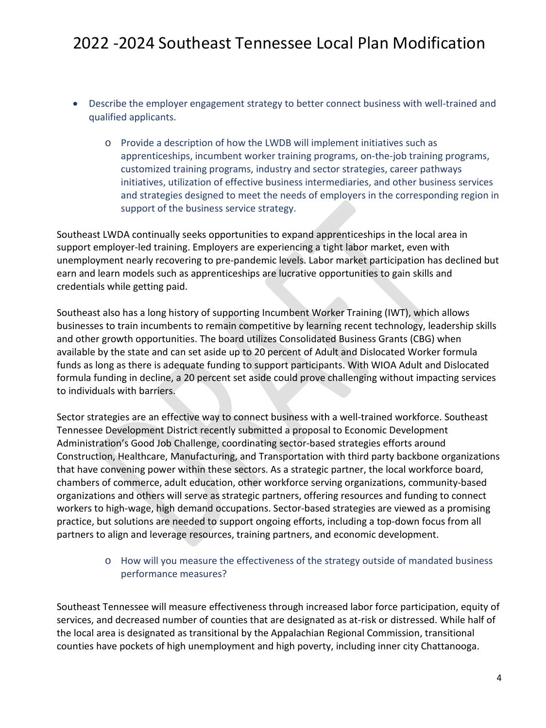- Describe the employer engagement strategy to better connect business with well-trained and qualified applicants.
	- o Provide a description of how the LWDB will implement initiatives such as apprenticeships, incumbent worker training programs, on-the-job training programs, customized training programs, industry and sector strategies, career pathways initiatives, utilization of effective business intermediaries, and other business services and strategies designed to meet the needs of employers in the corresponding region in support of the business service strategy.

Southeast LWDA continually seeks opportunities to expand apprenticeships in the local area in support employer-led training. Employers are experiencing a tight labor market, even with unemployment nearly recovering to pre-pandemic levels. Labor market participation has declined but earn and learn models such as apprenticeships are lucrative opportunities to gain skills and credentials while getting paid.

Southeast also has a long history of supporting Incumbent Worker Training (IWT), which allows businesses to train incumbents to remain competitive by learning recent technology, leadership skills and other growth opportunities. The board utilizes Consolidated Business Grants (CBG) when available by the state and can set aside up to 20 percent of Adult and Dislocated Worker formula funds as long as there is adequate funding to support participants. With WIOA Adult and Dislocated formula funding in decline, a 20 percent set aside could prove challenging without impacting services to individuals with barriers.

Sector strategies are an effective way to connect business with a well-trained workforce. Southeast Tennessee Development District recently submitted a proposal to Economic Development Administration's Good Job Challenge, coordinating sector-based strategies efforts around Construction, Healthcare, Manufacturing, and Transportation with third party backbone organizations that have convening power within these sectors. As a strategic partner, the local workforce board, chambers of commerce, adult education, other workforce serving organizations, community-based organizations and others will serve as strategic partners, offering resources and funding to connect workers to high-wage, high demand occupations. Sector-based strategies are viewed as a promising practice, but solutions are needed to support ongoing efforts, including a top-down focus from all partners to align and leverage resources, training partners, and economic development.

#### o How will you measure the effectiveness of the strategy outside of mandated business performance measures?

Southeast Tennessee will measure effectiveness through increased labor force participation, equity of services, and decreased number of counties that are designated as at-risk or distressed. While half of the local area is designated as transitional by the Appalachian Regional Commission, transitional counties have pockets of high unemployment and high poverty, including inner city Chattanooga.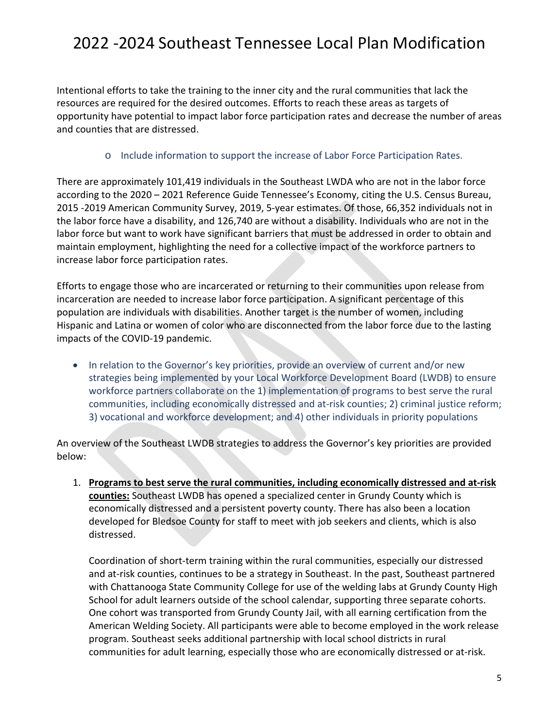Intentional efforts to take the training to the inner city and the rural communities that lack the resources are required for the desired outcomes. Efforts to reach these areas as targets of opportunity have potential to impact labor force participation rates and decrease the number of areas and counties that are distressed.

#### o Include information to support the increase of Labor Force Participation Rates.

There are approximately 101,419 individuals in the Southeast LWDA who are not in the labor force according to the 2020 – 2021 Reference Guide Tennessee's Economy, citing the U.S. Census Bureau, 2015 -2019 American Community Survey, 2019, 5-year estimates. Of those, 66,352 individuals not in the labor force have a disability, and 126,740 are without a disability. Individuals who are not in the labor force but want to work have significant barriers that must be addressed in order to obtain and maintain employment, highlighting the need for a collective impact of the workforce partners to increase labor force participation rates.

Efforts to engage those who are incarcerated or returning to their communities upon release from incarceration are needed to increase labor force participation. A significant percentage of this population are individuals with disabilities. Another target is the number of women, including Hispanic and Latina or women of color who are disconnected from the labor force due to the lasting impacts of the COVID-19 pandemic.

• In relation to the Governor's key priorities, provide an overview of current and/or new strategies being implemented by your Local Workforce Development Board (LWDB) to ensure workforce partners collaborate on the 1) implementation of programs to best serve the rural communities, including economically distressed and at-risk counties; 2) criminal justice reform; 3) vocational and workforce development; and 4) other individuals in priority populations

An overview of the Southeast LWDB strategies to address the Governor's key priorities are provided below:

1. **Programs to best serve the rural communities, including economically distressed and at-risk counties:** Southeast LWDB has opened a specialized center in Grundy County which is economically distressed and a persistent poverty county. There has also been a location developed for Bledsoe County for staff to meet with job seekers and clients, which is also distressed.

Coordination of short-term training within the rural communities, especially our distressed and at-risk counties, continues to be a strategy in Southeast. In the past, Southeast partnered with Chattanooga State Community College for use of the welding labs at Grundy County High School for adult learners outside of the school calendar, supporting three separate cohorts. One cohort was transported from Grundy County Jail, with all earning certification from the American Welding Society. All participants were able to become employed in the work release program. Southeast seeks additional partnership with local school districts in rural communities for adult learning, especially those who are economically distressed or at-risk.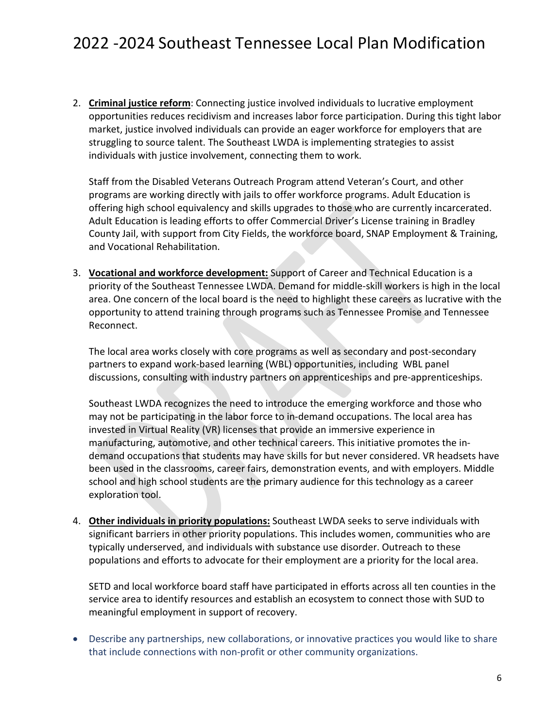2. **Criminal justice reform**: Connecting justice involved individuals to lucrative employment opportunities reduces recidivism and increases labor force participation. During this tight labor market, justice involved individuals can provide an eager workforce for employers that are struggling to source talent. The Southeast LWDA is implementing strategies to assist individuals with justice involvement, connecting them to work.

Staff from the Disabled Veterans Outreach Program attend Veteran's Court, and other programs are working directly with jails to offer workforce programs. Adult Education is offering high school equivalency and skills upgrades to those who are currently incarcerated. Adult Education is leading efforts to offer Commercial Driver's License training in Bradley County Jail, with support from City Fields, the workforce board, SNAP Employment & Training, and Vocational Rehabilitation.

3. **Vocational and workforce development:** Support of Career and Technical Education is a priority of the Southeast Tennessee LWDA. Demand for middle-skill workers is high in the local area. One concern of the local board is the need to highlight these careers as lucrative with the opportunity to attend training through programs such as Tennessee Promise and Tennessee Reconnect.

The local area works closely with core programs as well as secondary and post-secondary partners to expand work-based learning (WBL) opportunities, including WBL panel discussions, consulting with industry partners on apprenticeships and pre-apprenticeships.

Southeast LWDA recognizes the need to introduce the emerging workforce and those who may not be participating in the labor force to in-demand occupations. The local area has invested in Virtual Reality (VR) licenses that provide an immersive experience in manufacturing, automotive, and other technical careers. This initiative promotes the indemand occupations that students may have skills for but never considered. VR headsets have been used in the classrooms, career fairs, demonstration events, and with employers. Middle school and high school students are the primary audience for this technology as a career exploration tool.

4. **Other individuals in priority populations:** Southeast LWDA seeks to serve individuals with significant barriers in other priority populations. This includes women, communities who are typically underserved, and individuals with substance use disorder. Outreach to these populations and efforts to advocate for their employment are a priority for the local area.

SETD and local workforce board staff have participated in efforts across all ten counties in the service area to identify resources and establish an ecosystem to connect those with SUD to meaningful employment in support of recovery.

• Describe any partnerships, new collaborations, or innovative practices you would like to share that include connections with non-profit or other community organizations.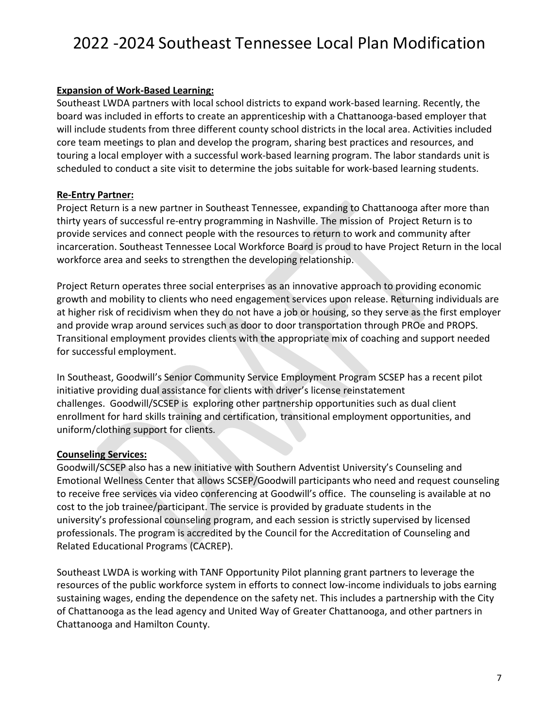#### **Expansion of Work-Based Learning:**

Southeast LWDA partners with local school districts to expand work-based learning. Recently, the board was included in efforts to create an apprenticeship with a Chattanooga-based employer that will include students from three different county school districts in the local area. Activities included core team meetings to plan and develop the program, sharing best practices and resources, and touring a local employer with a successful work-based learning program. The labor standards unit is scheduled to conduct a site visit to determine the jobs suitable for work-based learning students.

#### **Re-Entry Partner:**

Project Return is a new partner in Southeast Tennessee, expanding to Chattanooga after more than thirty years of successful re-entry programming in Nashville. The mission of Project Return is to provide services and connect people with the resources to return to work and community after incarceration. Southeast Tennessee Local Workforce Board is proud to have Project Return in the local workforce area and seeks to strengthen the developing relationship.

Project Return operates three social enterprises as an innovative approach to providing economic growth and mobility to clients who need engagement services upon release. Returning individuals are at higher risk of recidivism when they do not have a job or housing, so they serve as the first employer and provide wrap around services such as door to door transportation through PROe and PROPS. Transitional employment provides clients with the appropriate mix of coaching and support needed for successful employment.

In Southeast, Goodwill's Senior Community Service Employment Program SCSEP has a recent pilot initiative providing dual assistance for clients with driver's license reinstatement challenges. Goodwill/SCSEP is exploring other partnership opportunities such as dual client enrollment for hard skills training and certification, transitional employment opportunities, and uniform/clothing support for clients.

#### **Counseling Services:**

Goodwill/SCSEP also has a new initiative with Southern Adventist University's Counseling and Emotional Wellness Center that allows SCSEP/Goodwill participants who need and request counseling to receive free services via video conferencing at Goodwill's office. The counseling is available at no cost to the job trainee/participant. The service is provided by graduate students in the university's professional counseling program, and each session is strictly supervised by licensed professionals. The program is accredited by the Council for the Accreditation of Counseling and Related Educational Programs (CACREP).

Southeast LWDA is working with TANF Opportunity Pilot planning grant partners to leverage the resources of the public workforce system in efforts to connect low-income individuals to jobs earning sustaining wages, ending the dependence on the safety net. This includes a partnership with the City of Chattanooga as the lead agency and United Way of Greater Chattanooga, and other partners in Chattanooga and Hamilton County.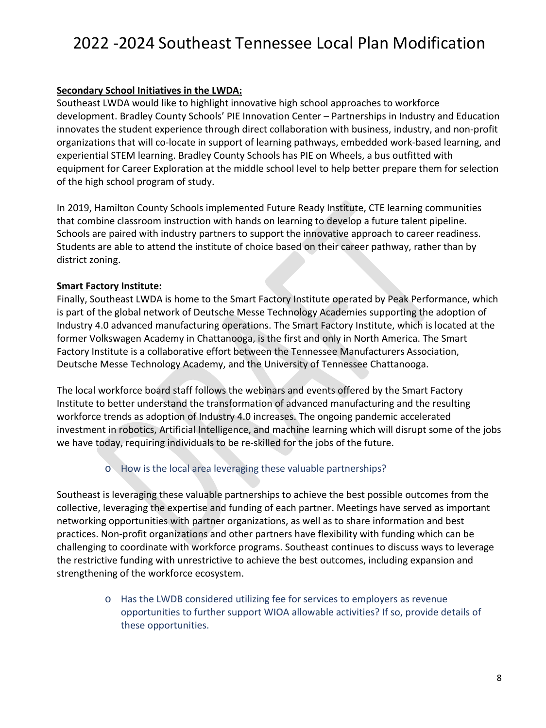#### **Secondary School Initiatives in the LWDA:**

Southeast LWDA would like to highlight innovative high school approaches to workforce development. Bradley County Schools' PIE Innovation Center – Partnerships in Industry and Education innovates the student experience through direct collaboration with business, industry, and non-profit organizations that will co-locate in support of learning pathways, embedded work-based learning, and experiential STEM learning. Bradley County Schools has PIE on Wheels, a bus outfitted with equipment for Career Exploration at the middle school level to help better prepare them for selection of the high school program of study.

In 2019, Hamilton County Schools implemented Future Ready Institute, CTE learning communities that combine classroom instruction with hands on learning to develop a future talent pipeline. Schools are paired with industry partners to support the innovative approach to career readiness. Students are able to attend the institute of choice based on their career pathway, rather than by district zoning.

#### **Smart Factory Institute:**

Finally, Southeast LWDA is home to the Smart Factory Institute operated by Peak Performance, which is part of the global network of Deutsche Messe Technology Academies supporting the adoption of Industry 4.0 advanced manufacturing operations. The Smart Factory Institute, which is located at the former Volkswagen Academy in Chattanooga, is the first and only in North America. The Smart Factory Institute is a collaborative effort between the Tennessee Manufacturers Association, Deutsche Messe Technology Academy, and the University of Tennessee Chattanooga.

The local workforce board staff follows the webinars and events offered by the Smart Factory Institute to better understand the transformation of advanced manufacturing and the resulting workforce trends as adoption of Industry 4.0 increases. The ongoing pandemic accelerated investment in robotics, Artificial Intelligence, and machine learning which will disrupt some of the jobs we have today, requiring individuals to be re-skilled for the jobs of the future.

### o How is the local area leveraging these valuable partnerships?

Southeast is leveraging these valuable partnerships to achieve the best possible outcomes from the collective, leveraging the expertise and funding of each partner. Meetings have served as important networking opportunities with partner organizations, as well as to share information and best practices. Non-profit organizations and other partners have flexibility with funding which can be challenging to coordinate with workforce programs. Southeast continues to discuss ways to leverage the restrictive funding with unrestrictive to achieve the best outcomes, including expansion and strengthening of the workforce ecosystem.

> o Has the LWDB considered utilizing fee for services to employers as revenue opportunities to further support WIOA allowable activities? If so, provide details of these opportunities.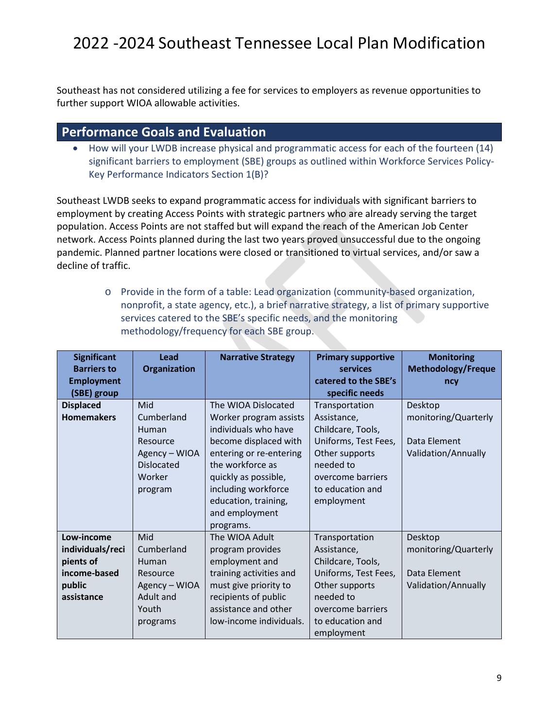Southeast has not considered utilizing a fee for services to employers as revenue opportunities to further support WIOA allowable activities.

### **Performance Goals and Evaluation**

• How will your LWDB increase physical and programmatic access for each of the fourteen (14) significant barriers to employment (SBE) groups as outlined within Workforce Services Policy-Key Performance Indicators Section 1(B)?

Southeast LWDB seeks to expand programmatic access for individuals with significant barriers to employment by creating Access Points with strategic partners who are already serving the target population. Access Points are not staffed but will expand the reach of the American Job Center network. Access Points planned during the last two years proved unsuccessful due to the ongoing pandemic. Planned partner locations were closed or transitioned to virtual services, and/or saw a decline of traffic.

> o Provide in the form of a table: Lead organization (community-based organization, nonprofit, a state agency, etc.), a brief narrative strategy, a list of primary supportive services catered to the SBE's specific needs, and the monitoring methodology/frequency for each SBE group.

| <b>Significant</b> | Lead                | <b>Narrative Strategy</b> | <b>Primary supportive</b> | <b>Monitoring</b>         |
|--------------------|---------------------|---------------------------|---------------------------|---------------------------|
| <b>Barriers to</b> | <b>Organization</b> |                           | <b>services</b>           | <b>Methodology/Freque</b> |
| <b>Employment</b>  |                     |                           | catered to the SBE's      | ncy                       |
| (SBE) group        |                     |                           | specific needs            |                           |
| <b>Displaced</b>   | Mid                 | The WIOA Dislocated       | Transportation            | Desktop                   |
| <b>Homemakers</b>  | Cumberland          | Worker program assists    | Assistance,               | monitoring/Quarterly      |
|                    | Human               | individuals who have      | Childcare, Tools,         |                           |
|                    | Resource            | become displaced with     | Uniforms, Test Fees,      | Data Element              |
|                    | Agency - WIOA       | entering or re-entering   | Other supports            | Validation/Annually       |
|                    | <b>Dislocated</b>   | the workforce as          | needed to                 |                           |
|                    | Worker              | quickly as possible,      | overcome barriers         |                           |
|                    | program             | including workforce       | to education and          |                           |
|                    |                     | education, training,      | employment                |                           |
|                    |                     | and employment            |                           |                           |
|                    |                     | programs.                 |                           |                           |
| Low-income         | Mid                 | The WIOA Adult            | Transportation            | Desktop                   |
| individuals/reci   | Cumberland          | program provides          | Assistance,               | monitoring/Quarterly      |
| pients of          | Human               | employment and            | Childcare, Tools,         |                           |
| income-based       | Resource            | training activities and   | Uniforms, Test Fees,      | Data Element              |
| public             | Agency - WIOA       | must give priority to     | Other supports            | Validation/Annually       |
| assistance         | Adult and           | recipients of public      | needed to                 |                           |
|                    | Youth               | assistance and other      | overcome barriers         |                           |
|                    | programs            | low-income individuals.   | to education and          |                           |
|                    |                     |                           | employment                |                           |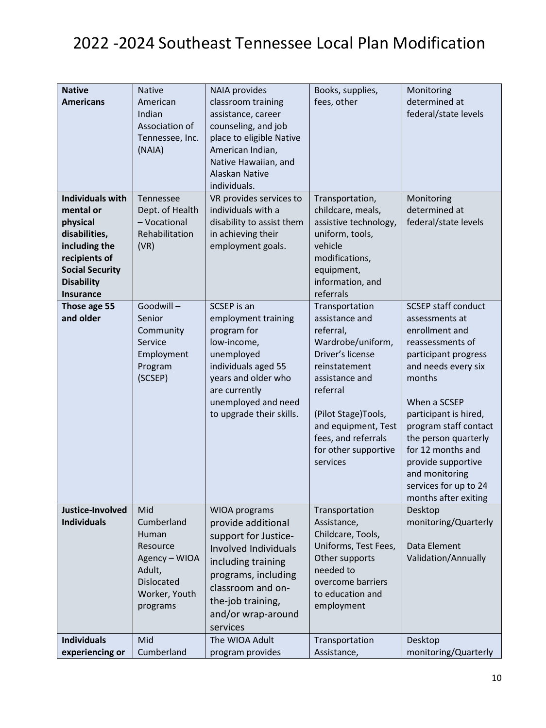| <b>Native</b><br><b>Americans</b>                                                                                                                                      | <b>Native</b><br>American<br>Indian<br>Association of<br>Tennessee, Inc.<br>(NAIA)                                  | <b>NAIA</b> provides<br>classroom training<br>assistance, career<br>counseling, and job<br>place to eligible Native<br>American Indian,<br>Native Hawaiian, and<br><b>Alaskan Native</b><br>individuals.            | Books, supplies,<br>fees, other                                                                                                                                                                                                                | Monitoring<br>determined at<br>federal/state levels                                                                                                                                                                                                                                                                                                 |
|------------------------------------------------------------------------------------------------------------------------------------------------------------------------|---------------------------------------------------------------------------------------------------------------------|---------------------------------------------------------------------------------------------------------------------------------------------------------------------------------------------------------------------|------------------------------------------------------------------------------------------------------------------------------------------------------------------------------------------------------------------------------------------------|-----------------------------------------------------------------------------------------------------------------------------------------------------------------------------------------------------------------------------------------------------------------------------------------------------------------------------------------------------|
| <b>Individuals with</b><br>mental or<br>physical<br>disabilities,<br>including the<br>recipients of<br><b>Social Security</b><br><b>Disability</b><br><b>Insurance</b> | Tennessee<br>Dept. of Health<br>- Vocational<br>Rehabilitation<br>(VR)                                              | VR provides services to<br>individuals with a<br>disability to assist them<br>in achieving their<br>employment goals.                                                                                               | Transportation,<br>childcare, meals,<br>assistive technology,<br>uniform, tools,<br>vehicle<br>modifications,<br>equipment,<br>information, and<br>referrals                                                                                   | Monitoring<br>determined at<br>federal/state levels                                                                                                                                                                                                                                                                                                 |
| Those age 55<br>and older                                                                                                                                              | Goodwill-<br>Senior<br>Community<br>Service<br>Employment<br>Program<br>(SCSEP)                                     | SCSEP is an<br>employment training<br>program for<br>low-income,<br>unemployed<br>individuals aged 55<br>years and older who<br>are currently<br>unemployed and need<br>to upgrade their skills.                    | Transportation<br>assistance and<br>referral,<br>Wardrobe/uniform,<br>Driver's license<br>reinstatement<br>assistance and<br>referral<br>(Pilot Stage)Tools,<br>and equipment, Test<br>fees, and referrals<br>for other supportive<br>services | <b>SCSEP staff conduct</b><br>assessments at<br>enrollment and<br>reassessments of<br>participant progress<br>and needs every six<br>months<br>When a SCSEP<br>participant is hired,<br>program staff contact<br>the person quarterly<br>for 12 months and<br>provide supportive<br>and monitoring<br>services for up to 24<br>months after exiting |
| Justice-Involved<br><b>Individuals</b>                                                                                                                                 | Mid<br>Cumberland<br>Human<br>Resource<br>Agency - WIOA<br>Adult,<br><b>Dislocated</b><br>Worker, Youth<br>programs | WIOA programs<br>provide additional<br>support for Justice-<br><b>Involved Individuals</b><br>including training<br>programs, including<br>classroom and on-<br>the-job training,<br>and/or wrap-around<br>services | Transportation<br>Assistance,<br>Childcare, Tools,<br>Uniforms, Test Fees,<br>Other supports<br>needed to<br>overcome barriers<br>to education and<br>employment                                                                               | Desktop<br>monitoring/Quarterly<br>Data Element<br>Validation/Annually                                                                                                                                                                                                                                                                              |
| <b>Individuals</b><br>experiencing or                                                                                                                                  | Mid<br>Cumberland                                                                                                   | The WIOA Adult<br>program provides                                                                                                                                                                                  | Transportation<br>Assistance,                                                                                                                                                                                                                  | Desktop<br>monitoring/Quarterly                                                                                                                                                                                                                                                                                                                     |
|                                                                                                                                                                        |                                                                                                                     |                                                                                                                                                                                                                     |                                                                                                                                                                                                                                                |                                                                                                                                                                                                                                                                                                                                                     |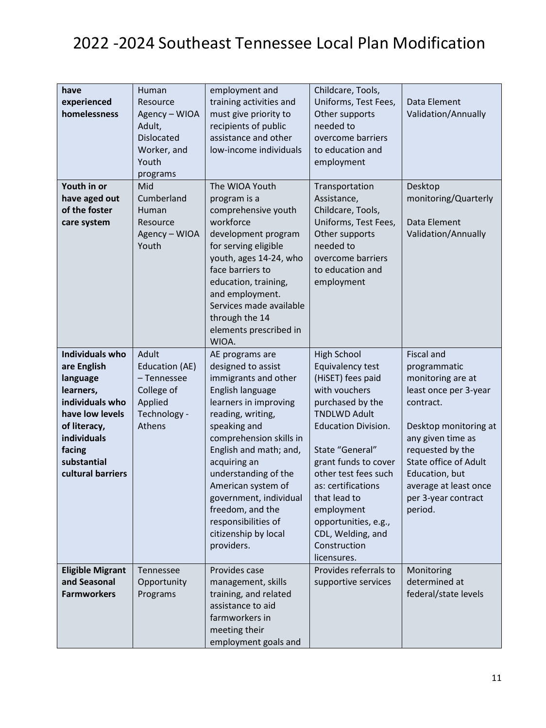| have<br>experienced<br>homelessness                                                                                                                                               | Human<br>Resource<br>Agency - WIOA<br>Adult,<br><b>Dislocated</b><br>Worker, and<br>Youth<br>programs | employment and<br>training activities and<br>must give priority to<br>recipients of public<br>assistance and other<br>low-income individuals                                                                                                                                                                                                                                  | Childcare, Tools,<br>Uniforms, Test Fees,<br>Other supports<br>needed to<br>overcome barriers<br>to education and<br>employment                                                                                                                                                                                                                          | Data Element<br>Validation/Annually                                                                                                                                                                                                                                  |
|-----------------------------------------------------------------------------------------------------------------------------------------------------------------------------------|-------------------------------------------------------------------------------------------------------|-------------------------------------------------------------------------------------------------------------------------------------------------------------------------------------------------------------------------------------------------------------------------------------------------------------------------------------------------------------------------------|----------------------------------------------------------------------------------------------------------------------------------------------------------------------------------------------------------------------------------------------------------------------------------------------------------------------------------------------------------|----------------------------------------------------------------------------------------------------------------------------------------------------------------------------------------------------------------------------------------------------------------------|
| Youth in or<br>have aged out<br>of the foster<br>care system                                                                                                                      | Mid<br>Cumberland<br>Human<br>Resource<br>Agency - WIOA<br>Youth                                      | The WIOA Youth<br>program is a<br>comprehensive youth<br>workforce<br>development program<br>for serving eligible<br>youth, ages 14-24, who<br>face barriers to<br>education, training,<br>and employment.<br>Services made available<br>through the 14<br>elements prescribed in<br>WIOA.                                                                                    | Transportation<br>Assistance,<br>Childcare, Tools,<br>Uniforms, Test Fees,<br>Other supports<br>needed to<br>overcome barriers<br>to education and<br>employment                                                                                                                                                                                         | Desktop<br>monitoring/Quarterly<br>Data Element<br>Validation/Annually                                                                                                                                                                                               |
| <b>Individuals who</b><br>are English<br>language<br>learners,<br>individuals who<br>have low levels<br>of literacy,<br>individuals<br>facing<br>substantial<br>cultural barriers | Adult<br>Education (AE)<br>-Tennessee<br>College of<br>Applied<br>Technology -<br>Athens              | AE programs are<br>designed to assist<br>immigrants and other<br>English language<br>learners in improving<br>reading, writing,<br>speaking and<br>comprehension skills in<br>English and math; and,<br>acquiring an<br>understanding of the<br>American system of<br>government, individual<br>freedom, and the<br>responsibilities of<br>citizenship by local<br>providers. | <b>High School</b><br>Equivalency test<br>(HiSET) fees paid<br>with vouchers<br>purchased by the<br><b>TNDLWD Adult</b><br><b>Education Division.</b><br>State "General"<br>grant funds to cover<br>other test fees such<br>as: certifications<br>that lead to<br>employment<br>opportunities, e.g.,<br>CDL, Welding, and<br>Construction<br>licensures. | <b>Fiscal and</b><br>programmatic<br>monitoring are at<br>least once per 3-year<br>contract.<br>Desktop monitoring at<br>any given time as<br>requested by the<br>State office of Adult<br>Education, but<br>average at least once<br>per 3-year contract<br>period. |
| <b>Eligible Migrant</b><br>and Seasonal<br><b>Farmworkers</b>                                                                                                                     | Tennessee<br>Opportunity<br>Programs                                                                  | Provides case<br>management, skills<br>training, and related<br>assistance to aid<br>farmworkers in<br>meeting their<br>employment goals and                                                                                                                                                                                                                                  | Provides referrals to<br>supportive services                                                                                                                                                                                                                                                                                                             | Monitoring<br>determined at<br>federal/state levels                                                                                                                                                                                                                  |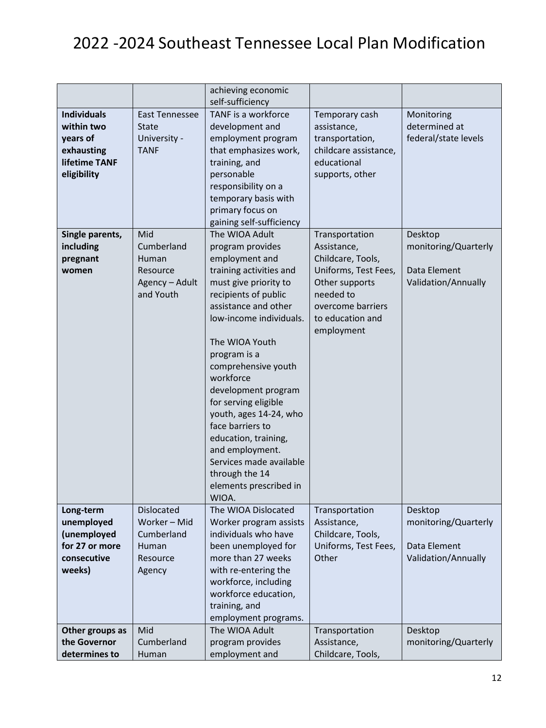|                               |                       | achieving economic<br>self-sufficiency    |                                           |                      |
|-------------------------------|-----------------------|-------------------------------------------|-------------------------------------------|----------------------|
| <b>Individuals</b>            | <b>East Tennessee</b> | TANF is a workforce                       | Temporary cash                            | Monitoring           |
| within two                    | <b>State</b>          | development and                           | assistance,                               | determined at        |
| years of                      | University -          | employment program                        | transportation,                           | federal/state levels |
| exhausting                    | <b>TANF</b>           | that emphasizes work,                     | childcare assistance,                     |                      |
| lifetime TANF                 |                       | training, and                             | educational                               |                      |
| eligibility                   |                       | personable                                | supports, other                           |                      |
|                               |                       | responsibility on a                       |                                           |                      |
|                               |                       | temporary basis with                      |                                           |                      |
|                               |                       | primary focus on                          |                                           |                      |
|                               |                       | gaining self-sufficiency                  |                                           |                      |
| Single parents,               | Mid                   | The WIOA Adult                            | Transportation                            | Desktop              |
| including                     | Cumberland            | program provides                          | Assistance,                               | monitoring/Quarterly |
| pregnant                      | Human                 | employment and                            | Childcare, Tools,                         |                      |
| women                         | Resource              | training activities and                   | Uniforms, Test Fees,                      | Data Element         |
|                               | Agency - Adult        | must give priority to                     | Other supports                            | Validation/Annually  |
|                               | and Youth             | recipients of public                      | needed to                                 |                      |
|                               |                       | assistance and other                      | overcome barriers                         |                      |
|                               |                       | low-income individuals.                   | to education and                          |                      |
|                               |                       |                                           | employment                                |                      |
|                               |                       | The WIOA Youth                            |                                           |                      |
|                               |                       | program is a                              |                                           |                      |
|                               |                       | comprehensive youth                       |                                           |                      |
|                               |                       | workforce                                 |                                           |                      |
|                               |                       | development program                       |                                           |                      |
|                               |                       | for serving eligible                      |                                           |                      |
|                               |                       | youth, ages 14-24, who                    |                                           |                      |
|                               |                       | face barriers to                          |                                           |                      |
|                               |                       | education, training,                      |                                           |                      |
|                               |                       | and employment.                           |                                           |                      |
|                               |                       | Services made available                   |                                           |                      |
|                               |                       | through the 14                            |                                           |                      |
|                               |                       | elements prescribed in                    |                                           |                      |
|                               |                       | WIOA.                                     |                                           |                      |
| Long-term                     | <b>Dislocated</b>     | The WIOA Dislocated                       | Transportation                            | Desktop              |
| unemployed                    | Worker - Mid          | Worker program assists                    | Assistance,                               | monitoring/Quarterly |
| (unemployed<br>for 27 or more | Cumberland            | individuals who have                      | Childcare, Tools,<br>Uniforms, Test Fees, | Data Element         |
|                               | Human                 | been unemployed for<br>more than 27 weeks |                                           |                      |
| consecutive<br>weeks)         | Resource<br>Agency    | with re-entering the                      | Other                                     | Validation/Annually  |
|                               |                       | workforce, including                      |                                           |                      |
|                               |                       | workforce education,                      |                                           |                      |
|                               |                       | training, and                             |                                           |                      |
|                               |                       | employment programs.                      |                                           |                      |
| Other groups as               | Mid                   | The WIOA Adult                            | Transportation                            | Desktop              |
| the Governor                  | Cumberland            | program provides                          | Assistance,                               | monitoring/Quarterly |
| determines to                 | Human                 | employment and                            | Childcare, Tools,                         |                      |
|                               |                       |                                           |                                           |                      |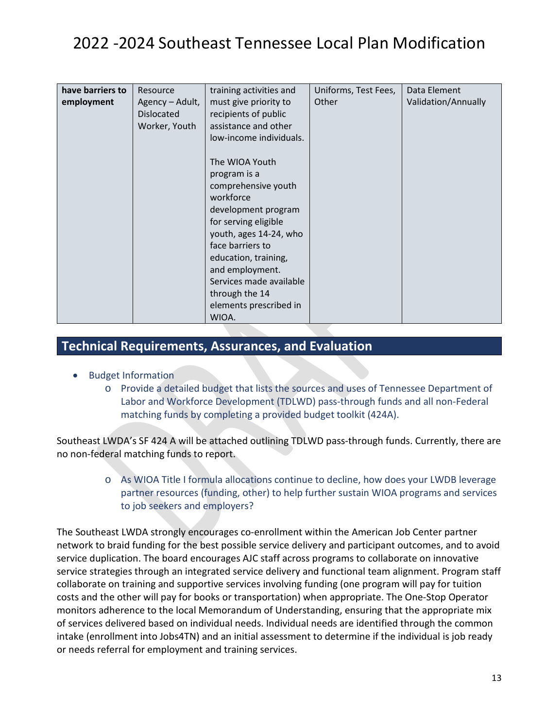| have barriers to | Resource          | training activities and | Uniforms, Test Fees, | Data Element        |
|------------------|-------------------|-------------------------|----------------------|---------------------|
| employment       | Agency – Adult,   | must give priority to   | Other                | Validation/Annually |
|                  | <b>Dislocated</b> | recipients of public    |                      |                     |
|                  | Worker, Youth     | assistance and other    |                      |                     |
|                  |                   | low-income individuals. |                      |                     |
|                  |                   |                         |                      |                     |
|                  |                   | The WIOA Youth          |                      |                     |
|                  |                   | program is a            |                      |                     |
|                  |                   | comprehensive youth     |                      |                     |
|                  |                   | workforce               |                      |                     |
|                  |                   | development program     |                      |                     |
|                  |                   | for serving eligible    |                      |                     |
|                  |                   | youth, ages 14-24, who  |                      |                     |
|                  |                   | face barriers to        |                      |                     |
|                  |                   | education, training,    |                      |                     |
|                  |                   | and employment.         |                      |                     |
|                  |                   | Services made available |                      |                     |
|                  |                   | through the 14          |                      |                     |
|                  |                   | elements prescribed in  |                      |                     |
|                  |                   |                         |                      |                     |
|                  |                   | WIOA.                   |                      |                     |

### **Technical Requirements, Assurances, and Evaluation**

- Budget Information
	- o Provide a detailed budget that lists the sources and uses of Tennessee Department of Labor and Workforce Development (TDLWD) pass-through funds and all non-Federal matching funds by completing a provided budget toolkit (424A).

Southeast LWDA's SF 424 A will be attached outlining TDLWD pass-through funds. Currently, there are no non-federal matching funds to report.

> o As WIOA Title I formula allocations continue to decline, how does your LWDB leverage partner resources (funding, other) to help further sustain WIOA programs and services to job seekers and employers?

The Southeast LWDA strongly encourages co-enrollment within the American Job Center partner network to braid funding for the best possible service delivery and participant outcomes, and to avoid service duplication. The board encourages AJC staff across programs to collaborate on innovative service strategies through an integrated service delivery and functional team alignment. Program staff collaborate on training and supportive services involving funding (one program will pay for tuition costs and the other will pay for books or transportation) when appropriate. The One-Stop Operator monitors adherence to the local Memorandum of Understanding, ensuring that the appropriate mix of services delivered based on individual needs. Individual needs are identified through the common intake (enrollment into Jobs4TN) and an initial assessment to determine if the individual is job ready or needs referral for employment and training services.